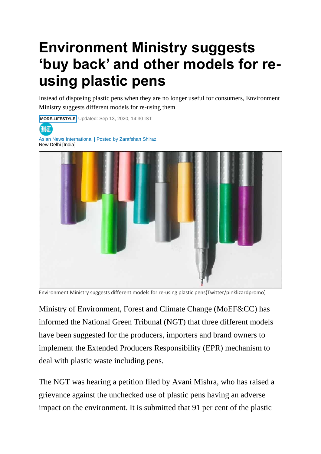## **Environment Ministry suggests 'buy back' and other models for reusing plastic pens**

Instead of disposing plastic pens when they are no longer useful for consumers, Environment Ministry suggests different models for re-using them

**MORE-LIFESTYLE** Updated: Sep 13, 2020, 14:30 IST 3HT Asian News International | Posted by Zarafshan Shiraz New Delhi [India]

Environment Ministry suggests different models for re-using plastic pens(Twitter/pinklizardpromo)

Ministry of Environment, Forest and Climate Change (MoEF&CC) has informed the National Green Tribunal (NGT) that three different models have been suggested for the producers, importers and brand owners to implement the Extended Producers Responsibility (EPR) mechanism to deal with plastic waste including pens.

The NGT was hearing a petition filed by Avani Mishra, who has raised a grievance against the unchecked use of plastic pens having an adverse impact on the environment. It is submitted that 91 per cent of the plastic